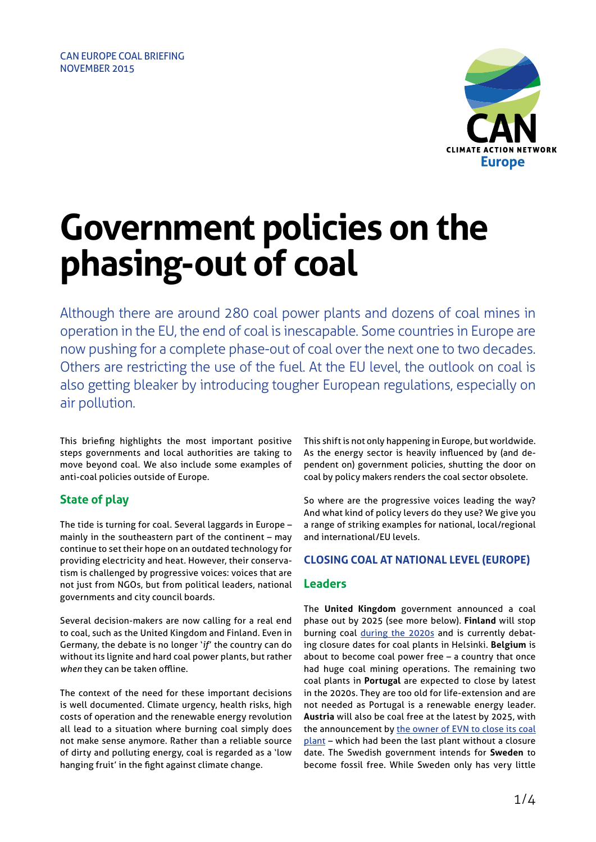

# **Government policies on the phasing-out of coal**

Although there are around 280 coal power plants and dozens of coal mines in operation in the EU, the end of coal is inescapable. Some countries in Europe are now pushing for a complete phase-out of coal over the next one to two decades. Others are restricting the use of the fuel. At the EU level, the outlook on coal is also getting bleaker by introducing tougher European regulations, especially on air pollution.

This briefing highlights the most important positive steps governments and local authorities are taking to move beyond coal. We also include some examples of anti-coal policies outside of Europe.

# **State of play**

The tide is turning for coal. Several laggards in Europe – mainly in the southeastern part of the continent – may continue to set their hope on an outdated technology for providing electricity and heat. However, their conservatism is challenged by progressive voices: voices that are not just from NGOs, but from political leaders, national governments and city council boards.

Several decision-makers are now calling for a real end to coal, such as the United Kingdom and Finland. Even in Germany, the debate is no longer '*if*' the country can do without its lignite and hard coal power plants, but rather *when* they can be taken offline.

The context of the need for these important decisions is well documented. Climate urgency, health risks, high costs of operation and the renewable energy revolution all lead to a situation where burning coal simply does not make sense anymore. Rather than a reliable source of dirty and polluting energy, coal is regarded as a 'low hanging fruit' in the fight against climate change.

This shift is not only happening in Europe, but worldwide. As the energy sector is heavily influenced by (and dependent on) government policies, shutting the door on coal by policy makers renders the coal sector obsolete.

So where are the progressive voices leading the way? And what kind of policy levers do they use? We give you a range of striking examples for national, local/regional and international/EU levels.

## **CLOSING COAL AT NATIONAL LEVEL (EUROPE)**

## **Leaders**

The **United Kingdom** government announced a coal phase out by 2025 (see more below). **Finland** will stop burning coal [during the 2020s](http://presidentti.fi/public/default.aspx?contentid=313087&nodeid=44810&contentlan=2&culture=en-US) and is currently debating closure dates for coal plants in Helsinki. **Belgium** is about to become coal power free – a country that once had huge coal mining operations. The remaining two coal plants in **Portugal** are expected to close by latest in the 2020s. They are too old for life-extension and are not needed as Portugal is a renewable energy leader. **Austria** will also be coal free at the latest by 2025, with the announcement by [the owner of EVN to close its coal](http://www.greenpeace.org/austria/de/presse/presseaussendungen/Greenpeace/Greenpeace-begruBt-vollstandigen-Kohlekraftausstieg-Osterreichs/) [plant](http://www.greenpeace.org/austria/de/presse/presseaussendungen/Greenpeace/Greenpeace-begruBt-vollstandigen-Kohlekraftausstieg-Osterreichs/) – which had been the last plant without a closure date. The Swedish government intends for **Sweden** to become fossil free. While Sweden only has very little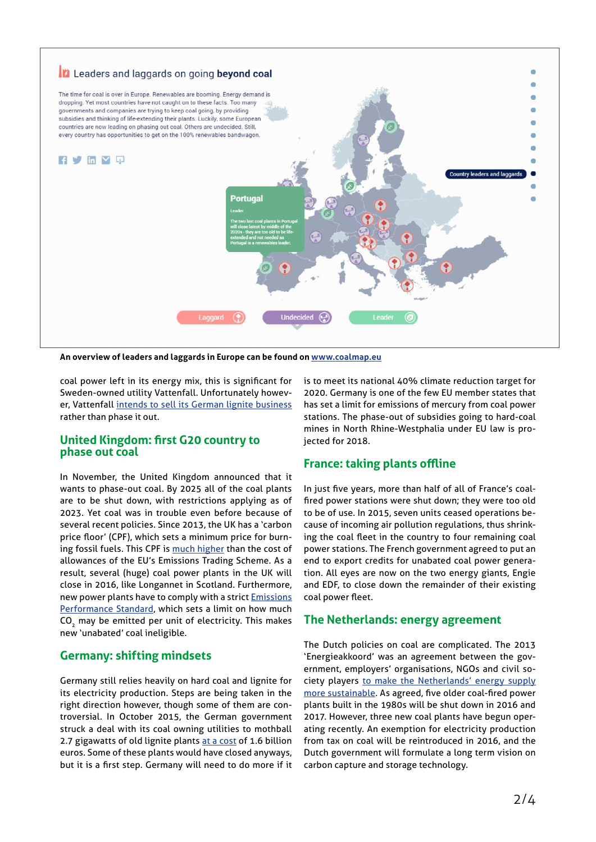

**An overview of leaders and laggards in Europe can be found on [www.coalmap.eu](http://www.coalmap.eu)**

coal power left in its energy mix, this is significant for Sweden-owned utility Vattenfall. Unfortunately however, Vattenfall [intends to sell its German lignite business](http://www.ft.com/intl/cms/s/0/33ea5a4a-610e-11e5-97e9-7f0bf5e7177b.html#axzz3sQA0vOgm) rather than phase it out.

#### **United Kingdom: first G20 country to phase out coal**

In November, the United Kingdom announced that it wants to phase-out coal. By 2025 all of the coal plants are to be shut down, with restrictions applying as of 2023. Yet coal was in trouble even before because of several recent policies. Since 2013, the UK has a 'carbon price floor' (CPF), which sets a minimum price for burning fossil fuels. This CPF is [much higher](http://www.theguardian.com/environment/2015/apr/02/carbon-floor-price-hike-will-trigger-uk-coal-slowdown-say-analysts) than the cost of allowances of the EU's Emissions Trading Scheme. As a result, several (huge) coal power plants in the UK will close in 2016, like Longannet in Scotland. Furthermore, new power plants have to comply with a strict [Emissions](http://www.legislation.gov.uk/uksi/2015/933/pdfs/uksiem_20150933_en.pdf)  [Performance Standard](http://www.legislation.gov.uk/uksi/2015/933/pdfs/uksiem_20150933_en.pdf), which sets a limit on how much CO<sub>2</sub> may be emitted per unit of electricity. This makes new 'unabated' coal ineligible.

## **Germany: shifting mindsets**

Germany still relies heavily on hard coal and lignite for its electricity production. Steps are being taken in the right direction however, though some of them are controversial. In October 2015, the German government struck a deal with its coal owning utilities to mothball 2.7 gigawatts of old lignite plants [at a cost](http://www.energypost.eu/german-lignite-accord-will-take-lot-get-lignite-germany-let-alone-europe/) of 1.6 billion euros. Some of these plants would have closed anyways, but it is a first step. Germany will need to do more if it

is to meet its national 40% climate reduction target for 2020. Germany is one of the few EU member states that has set a limit for emissions of mercury from coal power stations. The phase-out of subsidies going to hard-coal mines in North Rhine-Westphalia under EU law is projected for 2018.

## **France: taking plants offline**

In just five years, more than half of all of France's coalfired power stations were shut down; they were too old to be of use. In 2015, seven units ceased operations because of incoming air pollution regulations, thus shrinking the coal fleet in the country to four remaining coal power stations. The French government agreed to put an end to export credits for unabated coal power generation. All eyes are now on the two energy giants, Engie and EDF, to close down the remainder of their existing coal power fleet.

## **The Netherlands: energy agreement**

The Dutch policies on coal are complicated. The 2013 'Energieakkoord' was an agreement between the government, employers' organisations, NGOs and civil society players [to make the Netherlands' energy supply](https://www.ser.nl/en/publications/publications/2013/energy-agreement-sustainable-growth.aspx) [more sustainable](https://www.ser.nl/en/publications/publications/2013/energy-agreement-sustainable-growth.aspx). As agreed, five older coal-fired power plants built in the 1980s will be shut down in 2016 and 2017. However, three new coal plants have begun operating recently. An exemption for electricity production from tax on coal will be reintroduced in 2016, and the Dutch government will formulate a long term vision on carbon capture and storage technology.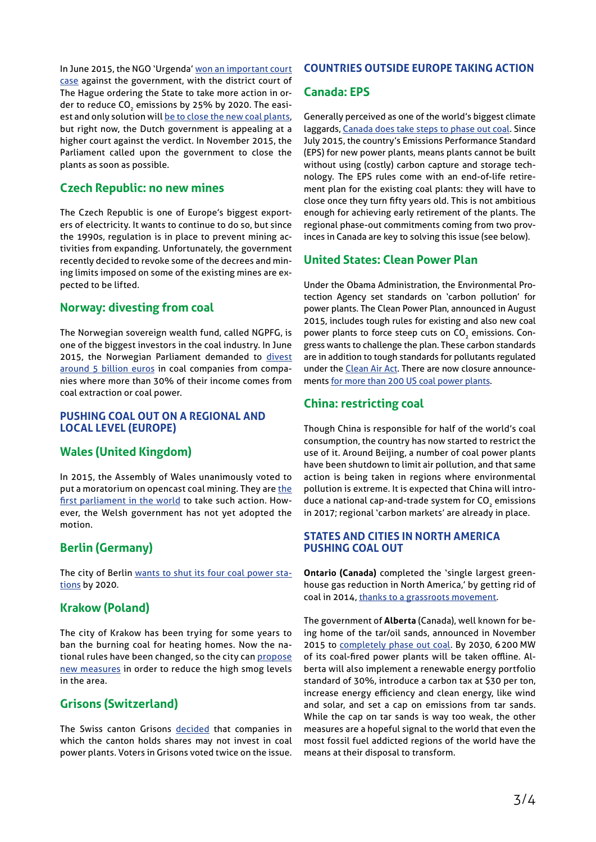In June 2015, the NGO 'Urgenda' [won an important court](http://us1.campaign-archive2.com/?u=91ffff7bfd16e26db7bee63af&id=11fab56e93&e=46588a629e)  [case](http://us1.campaign-archive2.com/?u=91ffff7bfd16e26db7bee63af&id=11fab56e93&e=46588a629e) against the government, with the district court of The Hague ordering the State to take more action in order to reduce CO<sub>2</sub> emissions by 25% by 2020. The easiest and only solution will [be to close the new coal plants,](http://www.trouw.nl/tr/nl/4332/Groen/article/detail/4192696/2015/11/23/Oproep-64-hoogleraren-Sluit-alle-kolencentrales.dhtml) but right now, the Dutch government is appealing at a higher court against the verdict. In November 2015, the Parliament called upon the government to close the plants as soon as possible.

## **Czech Republic: no new mines**

The Czech Republic is one of Europe's biggest exporters of electricity. It wants to continue to do so, but since the 1990s, regulation is in place to prevent mining activities from expanding. Unfortunately, the government recently decided to revoke some of the decrees and mining limits imposed on some of the existing mines are expected to be lifted.

## **Norway: divesting from coal**

The Norwegian sovereign wealth fund, called NGPFG, is one of the biggest investors in the coal industry. In June 2015, the Norwegian Parliament demanded to [divest](http://www.theguardian.com/environment/2015/jun/05/norways-pension-fund-to-divest-8bn-from-coal-a-new-analysis-shows)  [around 5 billion euros](http://www.theguardian.com/environment/2015/jun/05/norways-pension-fund-to-divest-8bn-from-coal-a-new-analysis-shows) in coal companies from companies where more than 30% of their income comes from coal extraction or coal power.

## **PUSHING COAL OUT ON A REGIONAL AND LOCAL LEVEL (EUROPE)**

# **Wales (United Kingdom)**

In 2015, the Assembly of Wales unanimously voted to put a moratorium on opencast coal mining. They are [the](http://www.theguardian.com/environment/2015/aug/04/coal-company-threatens-to-sue-welsh-borough-if-mine-permit-is-denied)  [first parliament in the world](http://www.theguardian.com/environment/2015/aug/04/coal-company-threatens-to-sue-welsh-borough-if-mine-permit-is-denied) to take such action. However, the Welsh government has not yet adopted the motion.

# **Berlin (Germany)**

The city of Berlin [wants to shut its four coal power sta](http://tcktcktck.org/2015/02/berlin-to-exit-coal-by-2020/)[tions](http://tcktcktck.org/2015/02/berlin-to-exit-coal-by-2020/) by 2020.

# **Krakow (Poland)**

The city of Krakow has been trying for some years to ban the burning coal for heating homes. Now the national rules have been changed, so the city can [propose](http://www.theguardian.com/environment/2015/oct/07/poland-krakow-ban-coal-use-anti-smog-law)  [new measures](http://www.theguardian.com/environment/2015/oct/07/poland-krakow-ban-coal-use-anti-smog-law) in order to reduce the high smog levels in the area.

## **Grisons (Switzerland)**

The Swiss canton Grisons [decided](http://retropower.ch/en/statement-against-coal-power-included-in-grisons-constitution/) that companies in which the canton holds shares may not invest in coal power plants. Voters in Grisons voted twice on the issue.

## **COUNTRIES OUTSIDE EUROPE TAKING ACTION**

## **Canada: EPS**

Generally perceived as one of the world's biggest climate laggards, [Canada does take steps to phase out coal](http://www.e3g.org/docs/Canada_country_profile_-_G7_coal_scorecard.pdf). Since July 2015, the country's Emissions Performance Standard (EPS) for new power plants, means plants cannot be built without using (costly) carbon capture and storage technology. The EPS rules come with an end-of-life retirement plan for the existing coal plants: they will have to close once they turn fifty years old. This is not ambitious enough for achieving early retirement of the plants. The regional phase-out commitments coming from two provinces in Canada are key to solving this issue (see below).

## **United States: Clean Power Plan**

Under the Obama Administration, the Environmental Protection Agency set standards on 'carbon pollution' for power plants. The Clean Power Plan, announced in August 2015, includes tough rules for existing and also new coal power plants to force steep cuts on CO<sub>2</sub> emissions. Congress wants to challenge the plan. These carbon standards are in addition to tough standards for pollutants regulated under the [Clean Air Act.](http://www2.epa.gov/cleanpowerplan/clean-power-plan-existing-power-plants) There are now closure announcements [for more than 200 US coal power plants.](http://content.sierraclub.org/coal/)

## **China: restricting coal**

Though China is responsible for half of the world's coal consumption, the country has now started to restrict the use of it. Around Beijing, a number of coal power plants have been shutdown to limit air pollution, and that same action is being taken in regions where environmental pollution is extreme. It is expected that China will introduce a national cap-and-trade system for CO<sub>2</sub> emissions in 2017; regional 'carbon markets' are already in place.

## **STATES AND CITIES IN NORTH AMERICA PUSHING COAL OUT**

**Ontario (Canada)** completed the 'single largest greenhouse gas reduction in North America,' by getting rid of coal in 2014, [thanks to a grassroots movement.](https://www.iisd.org/sites/default/files/publications/end-of-coal-ontario-coal-phase-out.pdf)

The government of **Alberta** (Canada), well known for being home of the tar/oil sands, announced in November 2015 to [completely phase out coal](http://content.sierraclub.org/press-releases/2015/11/alberta-announces-historic-climate-commitment). By 2030, 6200 MW of its coal-fired power plants will be taken offline. Alberta will also implement a renewable energy portfolio standard of 30%, introduce a carbon tax at \$30 per ton, increase energy efficiency and clean energy, like wind and solar, and set a cap on emissions from tar sands. While the cap on tar sands is way too weak, the other measures are a hopeful signal to the world that even the most fossil fuel addicted regions of the world have the means at their disposal to transform.